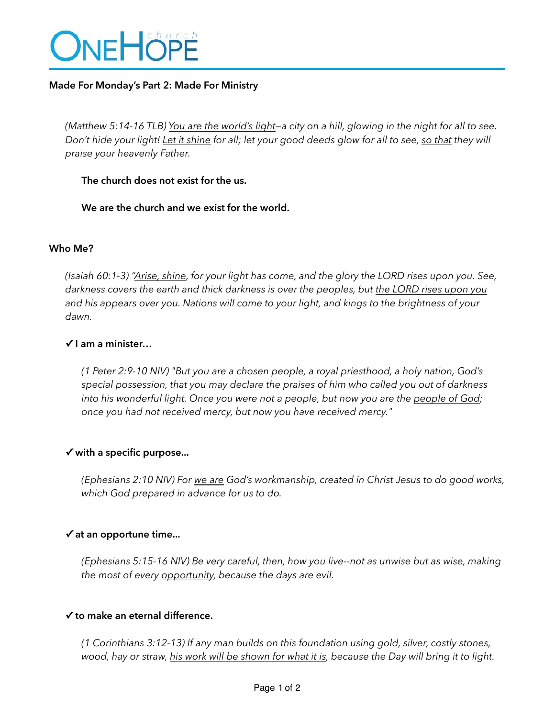

### **Made For Monday's Part 2: Made For Ministry**

*(Matthew 5:14-16 TLB) You are the world's light—a city on a hill, glowing in the night for all to see. Don't hide your light! Let it shine for all; let your good deeds glow for all to see, so that they will praise your heavenly Father.* 

#### **The church does not exist for the us.**

 **We are the church and we exist for the world.** 

#### **Who Me?**

*(Isaiah 60:1-3) "Arise, shine, for your light has come, and the glory the LORD rises upon you. See, darkness covers the earth and thick darkness is over the peoples, but the LORD rises upon you and his appears over you. Nations will come to your light, and kings to the brightness of your dawn.* 

### **✓ I am a minister…**

*(1 Peter 2:9-10 NIV) "But you are a chosen people, a royal priesthood, a holy nation, God's special possession, that you may declare the praises of him who called you out of darkness into his wonderful light. Once you were not a people, but now you are the people of God; once you had not received mercy, but now you have received mercy."*

### **✓ with a specific purpose...**

*(Ephesians 2:10 NIV) For we are God's workmanship, created in Christ Jesus to do good works, which God prepared in advance for us to do.* 

### **✓ at an opportune time...**

*(Ephesians 5:15-16 NIV) Be very careful, then, how you live--not as unwise but as wise, making the most of every opportunity, because the days are evil.* 

### **✓ to make an eternal difference.**

*(1 Corinthians 3:12-13) If any man builds on this foundation using gold, silver, costly stones,*  wood, hay or straw, his work will be shown for what it is, because the Day will bring it to light.